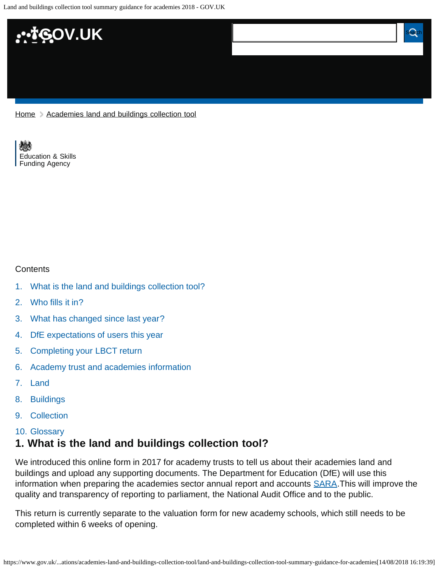

[Home](https://www.gov.uk/) > [Academies land and buildings collection tool](https://www.gov.uk/government/publications/academies-land-and-buildings-collection-tool)

[Education & Skills](https://www.gov.uk/government/organisations/education-and-skills-funding-agency)  [Funding Agency](https://www.gov.uk/government/organisations/education-and-skills-funding-agency)

#### **Contents**

- [1.](#page-0-0) [What is the land and buildings collection tool?](#page-0-0)
- [2.](#page-1-0) [Who fills it in?](#page-1-0)
- [3.](#page-1-1) [What has changed since last year?](#page-1-1)
- [4.](#page-2-0) [DfE expectations of users this year](#page-2-0)
- [5.](#page-2-1) [Completing your LBCT return](#page-2-1)
- [6.](#page-4-0) [Academy trust and academies information](#page-4-0)
- [7.](#page-4-1) [Land](#page-4-1)
- [8.](#page-5-0) [Buildings](#page-5-0)
- [9.](#page-7-0) [Collection](#page-7-0)
- [10.](#page-7-1) [Glossary](#page-7-1)

### <span id="page-0-0"></span>**1. What is the land and buildings collection tool?**

We introduced this online form in 2017 for academy trusts to tell us about their academies land and buildings and upload any supporting documents. The Department for Education (DfE) will use this information when preparing the academies sector annual report and accounts **SARA**. This will improve the quality and transparency of reporting to parliament, the National Audit Office and to the public.

This return is currently separate to the valuation form for new academy schools, which still needs to be completed within 6 weeks of opening.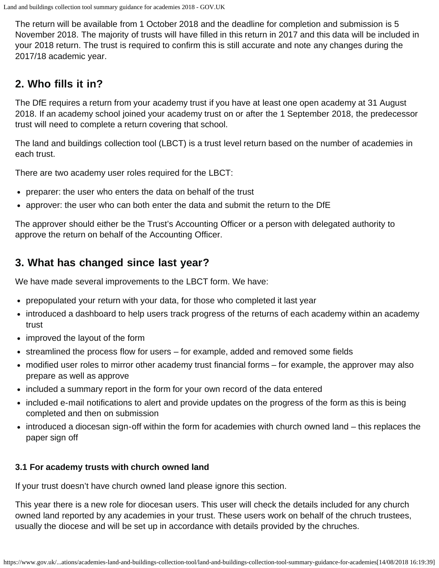The return will be available from 1 October 2018 and the deadline for completion and submission is 5 November 2018. The majority of trusts will have filled in this return in 2017 and this data will be included in your 2018 return. The trust is required to confirm this is still accurate and note any changes during the 2017/18 academic year.

## <span id="page-1-0"></span>**2. Who fills it in?**

The DfE requires a return from your academy trust if you have at least one open academy at 31 August 2018. If an academy school joined your academy trust on or after the 1 September 2018, the predecessor trust will need to complete a return covering that school.

The land and buildings collection tool (LBCT) is a trust level return based on the number of academies in each trust.

There are two academy user roles required for the LBCT:

- preparer: the user who enters the data on behalf of the trust
- approver: the user who can both enter the data and submit the return to the DfE

The approver should either be the Trust's Accounting Officer or a person with delegated authority to approve the return on behalf of the Accounting Officer.

## <span id="page-1-1"></span>**3. What has changed since last year?**

We have made several improvements to the LBCT form. We have:

- prepopulated your return with your data, for those who completed it last year
- introduced a dashboard to help users track progress of the returns of each academy within an academy trust
- improved the layout of the form
- streamlined the process flow for users for example, added and removed some fields
- modified user roles to mirror other academy trust financial forms for example, the approver may also prepare as well as approve
- included a summary report in the form for your own record of the data entered
- included e-mail notifications to alert and provide updates on the progress of the form as this is being completed and then on submission
- introduced a diocesan sign-off within the form for academies with church owned land this replaces the paper sign off

#### **3.1 For academy trusts with church owned land**

If your trust doesn't have church owned land please ignore this section.

This year there is a new role for diocesan users. This user will check the details included for any church owned land reported by any academies in your trust. These users work on behalf of the chruch trustees, usually the diocese and will be set up in accordance with details provided by the chruches.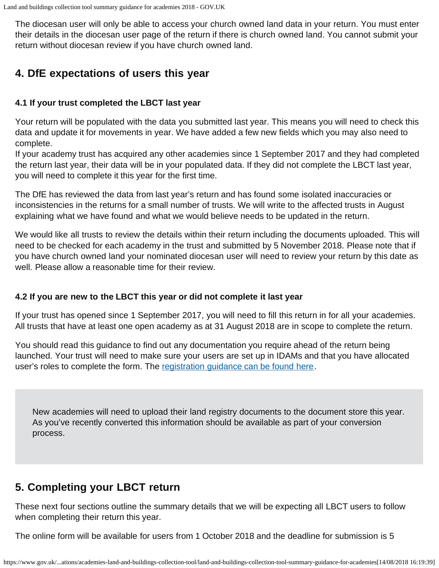The diocesan user will only be able to access your church owned land data in your return. You must enter their details in the diocesan user page of the return if there is church owned land. You cannot submit your return without diocesan review if you have church owned land.

# <span id="page-2-0"></span>**4. DfE expectations of users this year**

#### **4.1 If your trust completed the LBCT last year**

Your return will be populated with the data you submitted last year. This means you will need to check this data and update it for movements in year. We have added a few new fields which you may also need to complete.

If your academy trust has acquired any other academies since 1 September 2017 and they had completed the return last year, their data will be in your populated data. If they did not complete the LBCT last year, you will need to complete it this year for the first time.

The DfE has reviewed the data from last year's return and has found some isolated inaccuracies or inconsistencies in the returns for a small number of trusts. We will write to the affected trusts in August explaining what we have found and what we would believe needs to be updated in the return.

We would like all trusts to review the details within their return including the documents uploaded. This will need to be checked for each academy in the trust and submitted by 5 November 2018. Please note that if you have church owned land your nominated diocesan user will need to review your return by this date as well. Please allow a reasonable time for their review.

#### **4.2 If you are new to the LBCT this year or did not complete it last year**

If your trust has opened since 1 September 2017, you will need to fill this return in for all your academies. All trusts that have at least one open academy as at 31 August 2018 are in scope to complete the return.

You should read this guidance to find out any documentation you require ahead of the return being launched. Your trust will need to make sure your users are set up in IDAMs and that you have allocated user's roles to complete the form. The [registration guidance can be found here](https://www.gov.uk/guidance/academies-financial-returns-online-form-registration).

New academies will need to upload their land registry documents to the document store this year. As you've recently converted this information should be available as part of your conversion process.

# <span id="page-2-1"></span>**5. Completing your LBCT return**

These next four sections outline the summary details that we will be expecting all LBCT users to follow when completing their return this year.

The online form will be available for users from 1 October 2018 and the deadline for submission is 5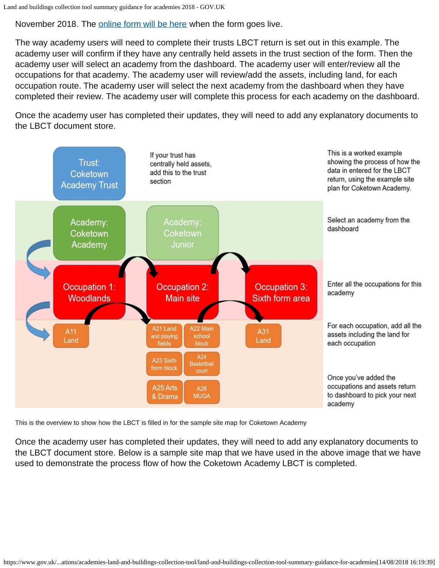November 2018. The [online form will be here](https://onlinecollections.des.fasst.org.uk/onlinecollections/) when the form goes live.

The way academy users will need to complete their trusts LBCT return is set out in this example. The academy user will confirm if they have any centrally held assets in the trust section of the form. Then the academy user will select an academy from the dashboard. The academy user will enter/review all the occupations for that academy. The academy user will review/add the assets, including land, for each occupation route. The academy user will select the next academy from the dashboard when they have completed their review. The academy user will complete this process for each academy on the dashboard.

Once the academy user has completed their updates, they will need to add any explanatory documents to the LBCT document store.



This is the overview to show how the LBCT is filled in for the sample site map for Coketown Academy

Once the academy user has completed their updates, they will need to add any explanatory documents to the LBCT document store. Below is a sample site map that we have used in the above image that we have used to demonstrate the process flow of how the Coketown Academy LBCT is completed.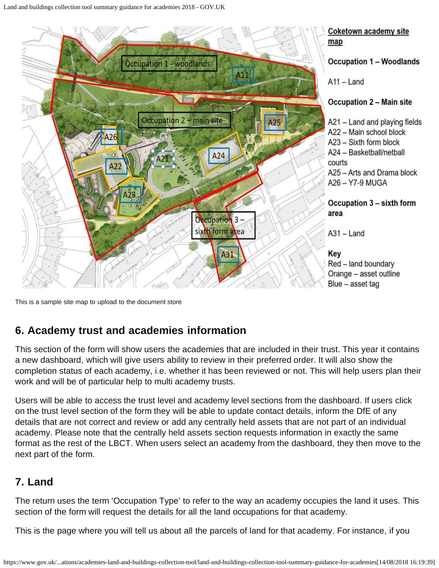

This is a sample site map to upload to the document store

## <span id="page-4-0"></span>**6. Academy trust and academies information**

This section of the form will show users the academies that are included in their trust. This year it contains a new dashboard, which will give users ability to review in their preferred order. It will also show the completion status of each academy, i.e. whether it has been reviewed or not. This will help users plan their work and will be of particular help to multi academy trusts.

Users will be able to access the trust level and academy level sections from the dashboard. If users click on the trust level section of the form they will be able to update contact details, inform the DfE of any details that are not correct and review or add any centrally held assets that are not part of an individual academy. Please note that the centrally held assets section requests information in exactly the same format as the rest of the LBCT. When users select an academy from the dashboard, they then move to the next part of the form.

# <span id="page-4-1"></span>**7. Land**

The return uses the term 'Occupation Type' to refer to the way an academy occupies the land it uses. This section of the form will request the details for all the land occupations for that academy.

This is the page where you will tell us about all the parcels of land for that academy. For instance, if you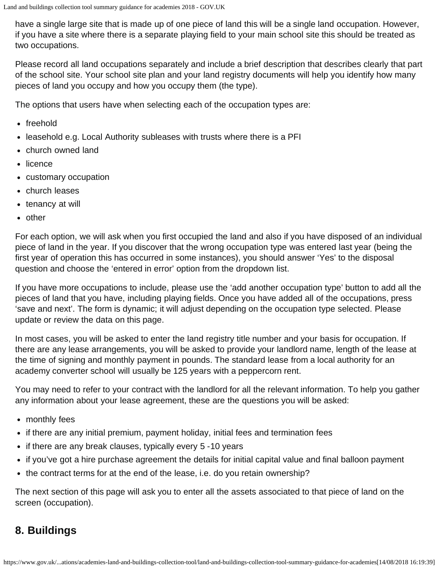have a single large site that is made up of one piece of land this will be a single land occupation. However, if you have a site where there is a separate playing field to your main school site this should be treated as two occupations.

Please record all land occupations separately and include a brief description that describes clearly that part of the school site. Your school site plan and your land registry documents will help you identify how many pieces of land you occupy and how you occupy them (the type).

The options that users have when selecting each of the occupation types are:

- freehold
- leasehold e.g. Local Authority subleases with trusts where there is a PFI
- church owned land
- licence
- customary occupation
- church leases
- tenancy at will
- other

For each option, we will ask when you first occupied the land and also if you have disposed of an individual piece of land in the year. If you discover that the wrong occupation type was entered last year (being the first year of operation this has occurred in some instances), you should answer 'Yes' to the disposal question and choose the 'entered in error' option from the dropdown list.

If you have more occupations to include, please use the 'add another occupation type' button to add all the pieces of land that you have, including playing fields. Once you have added all of the occupations, press 'save and next'. The form is dynamic; it will adjust depending on the occupation type selected. Please update or review the data on this page.

In most cases, you will be asked to enter the land registry title number and your basis for occupation. If there are any lease arrangements, you will be asked to provide your landlord name, length of the lease at the time of signing and monthly payment in pounds. The standard lease from a local authority for an academy converter school will usually be 125 years with a peppercorn rent.

You may need to refer to your contract with the landlord for all the relevant information. To help you gather any information about your lease agreement, these are the questions you will be asked:

- monthly fees
- if there are any initial premium, payment holiday, initial fees and termination fees
- if there are any break clauses, typically every 5 -10 years
- if you've got a hire purchase agreement the details for initial capital value and final balloon payment
- the contract terms for at the end of the lease, i.e. do you retain ownership?

The next section of this page will ask you to enter all the assets associated to that piece of land on the screen (occupation).

# <span id="page-5-0"></span>**8. Buildings**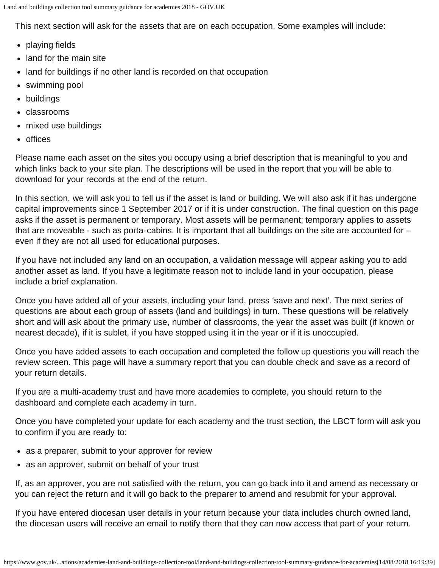This next section will ask for the assets that are on each occupation. Some examples will include:

- playing fields
- land for the main site
- land for buildings if no other land is recorded on that occupation
- swimming pool
- buildings
- classrooms
- mixed use buildings
- offices

Please name each asset on the sites you occupy using a brief description that is meaningful to you and which links back to your site plan. The descriptions will be used in the report that you will be able to download for your records at the end of the return.

In this section, we will ask you to tell us if the asset is land or building. We will also ask if it has undergone capital improvements since 1 September 2017 or if it is under construction. The final question on this page asks if the asset is permanent or temporary. Most assets will be permanent; temporary applies to assets that are moveable - such as porta-cabins. It is important that all buildings on the site are accounted for – even if they are not all used for educational purposes.

If you have not included any land on an occupation, a validation message will appear asking you to add another asset as land. If you have a legitimate reason not to include land in your occupation, please include a brief explanation.

Once you have added all of your assets, including your land, press 'save and next'. The next series of questions are about each group of assets (land and buildings) in turn. These questions will be relatively short and will ask about the primary use, number of classrooms, the year the asset was built (if known or nearest decade), if it is sublet, if you have stopped using it in the year or if it is unoccupied.

Once you have added assets to each occupation and completed the follow up questions you will reach the review screen. This page will have a summary report that you can double check and save as a record of your return details.

If you are a multi-academy trust and have more academies to complete, you should return to the dashboard and complete each academy in turn.

Once you have completed your update for each academy and the trust section, the LBCT form will ask you to confirm if you are ready to:

- as a preparer, submit to your approver for review
- as an approver, submit on behalf of your trust

If, as an approver, you are not satisfied with the return, you can go back into it and amend as necessary or you can reject the return and it will go back to the preparer to amend and resubmit for your approval.

If you have entered diocesan user details in your return because your data includes church owned land, the diocesan users will receive an email to notify them that they can now access that part of your return.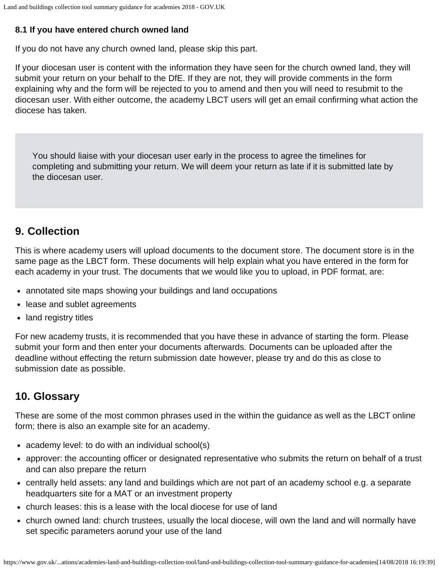### **8.1 If you have entered church owned land**

If you do not have any church owned land, please skip this part.

If your diocesan user is content with the information they have seen for the church owned land, they will submit your return on your behalf to the DfE. If they are not, they will provide comments in the form explaining why and the form will be rejected to you to amend and then you will need to resubmit to the diocesan user. With either outcome, the academy LBCT users will get an email confirming what action the diocese has taken.

You should liaise with your diocesan user early in the process to agree the timelines for completing and submitting your return. We will deem your return as late if it is submitted late by the diocesan user.

## <span id="page-7-0"></span>**9. Collection**

This is where academy users will upload documents to the document store. The document store is in the same page as the LBCT form. These documents will help explain what you have entered in the form for each academy in your trust. The documents that we would like you to upload, in PDF format, are:

- annotated site maps showing your buildings and land occupations
- lease and sublet agreements
- land registry titles

For new academy trusts, it is recommended that you have these in advance of starting the form. Please submit your form and then enter your documents afterwards. Documents can be uploaded after the deadline without effecting the return submission date however, please try and do this as close to submission date as possible.

## <span id="page-7-1"></span>**10. Glossary**

These are some of the most common phrases used in the within the guidance as well as the LBCT online form; there is also an example site for an academy.

- academy level: to do with an individual school(s)
- approver: the accounting officer or designated representative who submits the return on behalf of a trust and can also prepare the return
- centrally held assets: any land and buildings which are not part of an academy school e.g. a separate headquarters site for a MAT or an investment property
- church leases: this is a lease with the local diocese for use of land
- church owned land: church trustees, usually the local diocese, will own the land and will normally have set specific parameters aorund your use of the land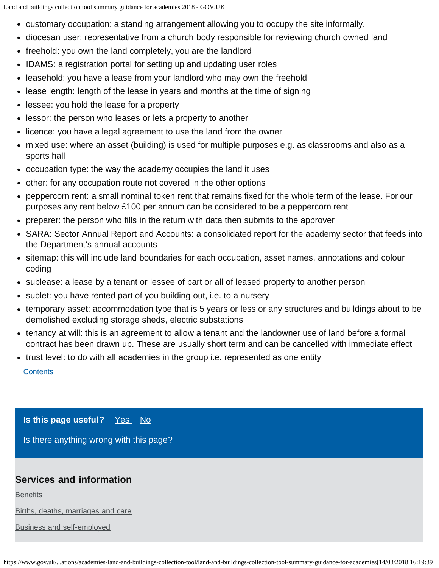- <span id="page-8-0"></span>customary occupation: a standing arrangement allowing you to occupy the site informally.
- diocesan user: representative from a church body responsible for reviewing church owned land
- freehold: you own the land completely, you are the landlord
- IDAMS: a registration portal for setting up and updating user roles
- leasehold: you have a lease from your landlord who may own the freehold
- lease length: length of the lease in years and months at the time of signing
- lessee: you hold the lease for a property
- lessor: the person who leases or lets a property to another
- licence: you have a legal agreement to use the land from the owner
- mixed use: where an asset (building) is used for multiple purposes e.g. as classrooms and also as a sports hall
- occupation type: the way the academy occupies the land it uses
- other: for any occupation route not covered in the other options
- peppercorn rent: a small nominal token rent that remains fixed for the whole term of the lease. For our purposes any rent below £100 per annum can be considered to be a peppercorn rent
- preparer: the person who fills in the return with data then submits to the approver
- SARA: Sector Annual Report and Accounts: a consolidated report for the academy sector that feeds into the Department's annual accounts
- sitemap: this will include land boundaries for each occupation, asset names, annotations and colour coding
- sublease: a lease by a tenant or lessee of part or all of leased property to another person
- sublet: you have rented part of you building out, i.e. to a nursery
- temporary asset: accommodation type that is 5 years or less or any structures and buildings about to be demolished excluding storage sheds, electric substations
- tenancy at will: this is an agreement to allow a tenant and the landowner use of land before a formal contract has been drawn up. These are usually short term and can be cancelled with immediate effect
- trust level: to do with all academies in the group i.e. represented as one entity

#### **[Contents](#page-8-0)**

**Is this page useful?** [Yes No](https://www.gov.uk/contact/govuk)

[Is there anything wrong with this page?](https://www.gov.uk/contact/govuk)

### **Services and information**

**[Benefits](https://www.gov.uk/browse/benefits)** 

[Births, deaths, marriages and care](https://www.gov.uk/browse/births-deaths-marriages)

[Business and self-employed](https://www.gov.uk/browse/business)